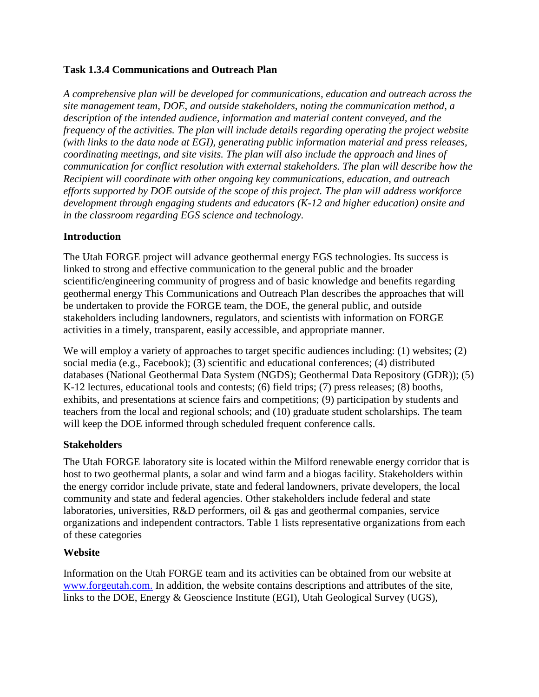# **Task 1.3.4 Communications and Outreach Plan**

*A comprehensive plan will be developed for communications, education and outreach across the site management team, DOE, and outside stakeholders, noting the communication method, a description of the intended audience, information and material content conveyed, and the frequency of the activities. The plan will include details regarding operating the project website (with links to the data node at EGI), generating public information material and press releases, coordinating meetings, and site visits. The plan will also include the approach and lines of communication for conflict resolution with external stakeholders. The plan will describe how the Recipient will coordinate with other ongoing key communications, education, and outreach efforts supported by DOE outside of the scope of this project. The plan will address workforce development through engaging students and educators (K-12 and higher education) onsite and in the classroom regarding EGS science and technology.*

### **Introduction**

The Utah FORGE project will advance geothermal energy EGS technologies. Its success is linked to strong and effective communication to the general public and the broader scientific/engineering community of progress and of basic knowledge and benefits regarding geothermal energy This Communications and Outreach Plan describes the approaches that will be undertaken to provide the FORGE team, the DOE, the general public, and outside stakeholders including landowners, regulators, and scientists with information on FORGE activities in a timely, transparent, easily accessible, and appropriate manner.

We will employ a variety of approaches to target specific audiences including: (1) websites; (2) social media (e.g., Facebook); (3) scientific and educational conferences; (4) distributed databases (National Geothermal Data System (NGDS); Geothermal Data Repository (GDR)); (5) K-12 lectures, educational tools and contests; (6) field trips; (7) press releases; (8) booths, exhibits, and presentations at science fairs and competitions; (9) participation by students and teachers from the local and regional schools; and (10) graduate student scholarships. The team will keep the DOE informed through scheduled frequent conference calls.

#### **Stakeholders**

The Utah FORGE laboratory site is located within the Milford renewable energy corridor that is host to two geothermal plants, a solar and wind farm and a biogas facility. Stakeholders within the energy corridor include private, state and federal landowners, private developers, the local community and state and federal agencies. Other stakeholders include federal and state laboratories, universities, R&D performers, oil & gas and geothermal companies, service organizations and independent contractors. Table 1 lists representative organizations from each of these categories

# **Website**

Information on the Utah FORGE team and its activities can be obtained from our website at [www.forgeutah.com.](http://www.forgeutah.com/) In addition, the website contains descriptions and attributes of the site, links to the DOE, Energy & Geoscience Institute (EGI), Utah Geological Survey (UGS),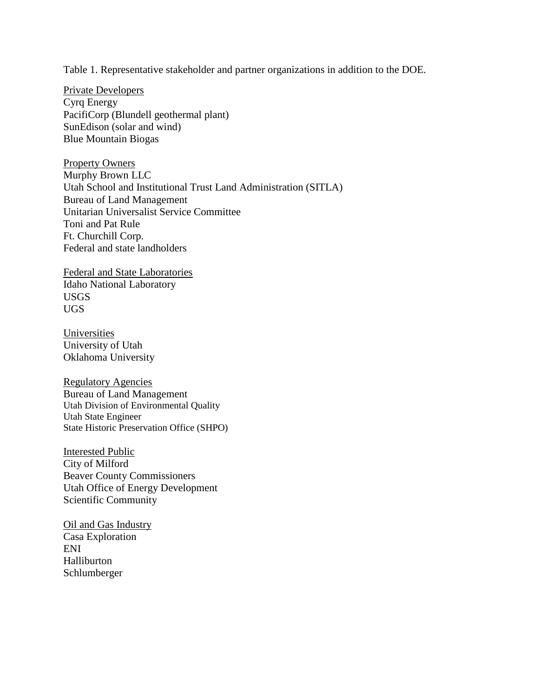Table 1. Representative stakeholder and partner organizations in addition to the DOE.

Private Developers Cyrq Energy PacifiCorp (Blundell geothermal plant) SunEdison (solar and wind) Blue Mountain Biogas

Property Owners Murphy Brown LLC Utah School and Institutional Trust Land Administration (SITLA) Bureau of Land Management Unitarian Universalist Service Committee Toni and Pat Rule Ft. Churchill Corp. Federal and state landholders

Federal and State Laboratories Idaho National Laboratory USGS UGS

**Universities** University of Utah Oklahoma University

Regulatory Agencies Bureau of Land Management Utah Division of Environmental Quality Utah State Engineer State Historic Preservation Office (SHPO)

Interested Public City of Milford Beaver County Commissioners Utah Office of Energy Development Scientific Community

Oil and Gas Industry Casa Exploration ENI Halliburton Schlumberger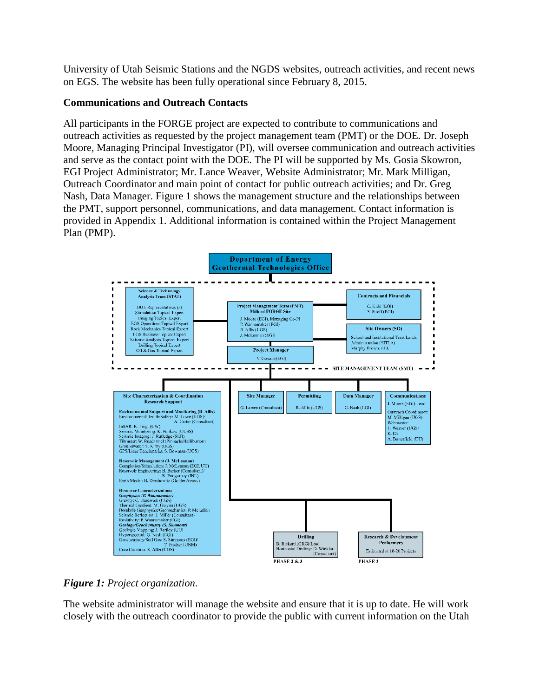University of Utah Seismic Stations and the NGDS websites, outreach activities, and recent news on EGS. The website has been fully operational since February 8, 2015.

### **Communications and Outreach Contacts**

All participants in the FORGE project are expected to contribute to communications and outreach activities as requested by the project management team (PMT) or the DOE. Dr. Joseph Moore, Managing Principal Investigator (PI), will oversee communication and outreach activities and serve as the contact point with the DOE. The PI will be supported by Ms. Gosia Skowron, EGI Project Administrator; Mr. Lance Weaver, Website Administrator; Mr. Mark Milligan, Outreach Coordinator and main point of contact for public outreach activities; and Dr. Greg Nash, Data Manager. Figure 1 shows the management structure and the relationships between the PMT, support personnel, communications, and data management. Contact information is provided in Appendix 1. Additional information is contained within the Project Management Plan (PMP).



*Figure 1: Project organization.*

The website administrator will manage the website and ensure that it is up to date. He will work closely with the outreach coordinator to provide the public with current information on the Utah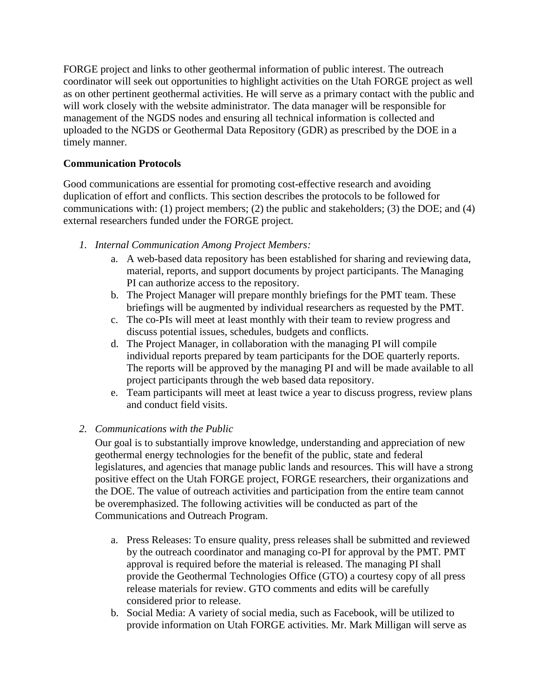FORGE project and links to other geothermal information of public interest. The outreach coordinator will seek out opportunities to highlight activities on the Utah FORGE project as well as on other pertinent geothermal activities. He will serve as a primary contact with the public and will work closely with the website administrator. The data manager will be responsible for management of the NGDS nodes and ensuring all technical information is collected and uploaded to the NGDS or Geothermal Data Repository (GDR) as prescribed by the DOE in a timely manner.

# **Communication Protocols**

Good communications are essential for promoting cost-effective research and avoiding duplication of effort and conflicts. This section describes the protocols to be followed for communications with: (1) project members; (2) the public and stakeholders; (3) the DOE; and (4) external researchers funded under the FORGE project.

- *1. Internal Communication Among Project Members:*
	- a. A web-based data repository has been established for sharing and reviewing data, material, reports, and support documents by project participants. The Managing PI can authorize access to the repository.
	- b. The Project Manager will prepare monthly briefings for the PMT team. These briefings will be augmented by individual researchers as requested by the PMT.
	- c. The co-PIs will meet at least monthly with their team to review progress and discuss potential issues, schedules, budgets and conflicts.
	- d. The Project Manager, in collaboration with the managing PI will compile individual reports prepared by team participants for the DOE quarterly reports. The reports will be approved by the managing PI and will be made available to all project participants through the web based data repository.
	- e. Team participants will meet at least twice a year to discuss progress, review plans and conduct field visits.

# *2. Communications with the Public*

Our goal is to substantially improve knowledge, understanding and appreciation of new geothermal energy technologies for the benefit of the public, state and federal legislatures, and agencies that manage public lands and resources. This will have a strong positive effect on the Utah FORGE project, FORGE researchers, their organizations and the DOE. The value of outreach activities and participation from the entire team cannot be overemphasized. The following activities will be conducted as part of the Communications and Outreach Program.

- a. Press Releases: To ensure quality, press releases shall be submitted and reviewed by the outreach coordinator and managing co-PI for approval by the PMT. PMT approval is required before the material is released. The managing PI shall provide the Geothermal Technologies Office (GTO) a courtesy copy of all press release materials for review. GTO comments and edits will be carefully considered prior to release.
- b. Social Media: A variety of social media, such as Facebook, will be utilized to provide information on Utah FORGE activities. Mr. Mark Milligan will serve as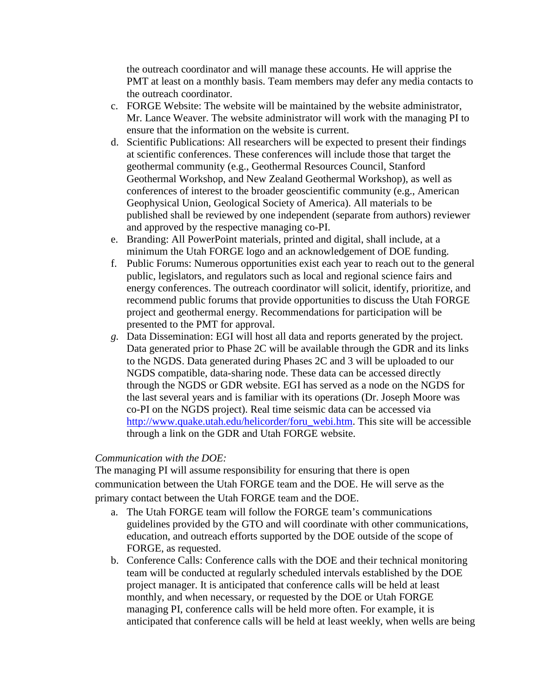the outreach coordinator and will manage these accounts. He will apprise the PMT at least on a monthly basis. Team members may defer any media contacts to the outreach coordinator.

- c. FORGE Website: The website will be maintained by the website administrator, Mr. Lance Weaver. The website administrator will work with the managing PI to ensure that the information on the website is current.
- d. Scientific Publications: All researchers will be expected to present their findings at scientific conferences. These conferences will include those that target the geothermal community (e.g., Geothermal Resources Council, Stanford Geothermal Workshop, and New Zealand Geothermal Workshop), as well as conferences of interest to the broader geoscientific community (e.g., American Geophysical Union, Geological Society of America). All materials to be published shall be reviewed by one independent (separate from authors) reviewer and approved by the respective managing co-PI.
- e. Branding: All PowerPoint materials, printed and digital, shall include, at a minimum the Utah FORGE logo and an acknowledgement of DOE funding.
- f. Public Forums: Numerous opportunities exist each year to reach out to the general public, legislators, and regulators such as local and regional science fairs and energy conferences. The outreach coordinator will solicit, identify, prioritize, and recommend public forums that provide opportunities to discuss the Utah FORGE project and geothermal energy. Recommendations for participation will be presented to the PMT for approval.
- *g.* Data Dissemination: EGI will host all data and reports generated by the project. Data generated prior to Phase 2C will be available through the GDR and its links to the NGDS. Data generated during Phases 2C and 3 will be uploaded to our NGDS compatible, data-sharing node. These data can be accessed directly through the NGDS or GDR website. EGI has served as a node on the NGDS for the last several years and is familiar with its operations (Dr. Joseph Moore was co-PI on the NGDS project). Real time seismic data can be accessed via [http://www.quake.utah.edu/helicorder/foru\\_webi.htm.](http://www.quake.utah.edu/helicorder/foru_webi.htm) This site will be accessible through a link on the GDR and Utah FORGE website.

#### *Communication with the DOE:*

The managing PI will assume responsibility for ensuring that there is open communication between the Utah FORGE team and the DOE. He will serve as the primary contact between the Utah FORGE team and the DOE.

- a. The Utah FORGE team will follow the FORGE team's communications guidelines provided by the GTO and will coordinate with other communications, education, and outreach efforts supported by the DOE outside of the scope of FORGE, as requested.
- b. Conference Calls: Conference calls with the DOE and their technical monitoring team will be conducted at regularly scheduled intervals established by the DOE project manager. It is anticipated that conference calls will be held at least monthly, and when necessary, or requested by the DOE or Utah FORGE managing PI, conference calls will be held more often. For example, it is anticipated that conference calls will be held at least weekly, when wells are being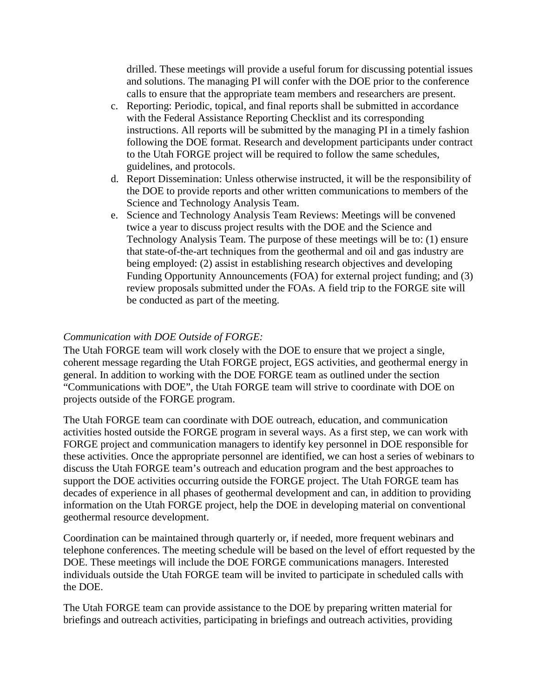drilled. These meetings will provide a useful forum for discussing potential issues and solutions. The managing PI will confer with the DOE prior to the conference calls to ensure that the appropriate team members and researchers are present.

- c. Reporting: Periodic, topical, and final reports shall be submitted in accordance with the Federal Assistance Reporting Checklist and its corresponding instructions. All reports will be submitted by the managing PI in a timely fashion following the DOE format. Research and development participants under contract to the Utah FORGE project will be required to follow the same schedules, guidelines, and protocols.
- d. Report Dissemination: Unless otherwise instructed, it will be the responsibility of the DOE to provide reports and other written communications to members of the Science and Technology Analysis Team.
- e. Science and Technology Analysis Team Reviews: Meetings will be convened twice a year to discuss project results with the DOE and the Science and Technology Analysis Team. The purpose of these meetings will be to: (1) ensure that state-of-the-art techniques from the geothermal and oil and gas industry are being employed: (2) assist in establishing research objectives and developing Funding Opportunity Announcements (FOA) for external project funding; and (3) review proposals submitted under the FOAs. A field trip to the FORGE site will be conducted as part of the meeting.

# *Communication with DOE Outside of FORGE:*

The Utah FORGE team will work closely with the DOE to ensure that we project a single, coherent message regarding the Utah FORGE project, EGS activities, and geothermal energy in general. In addition to working with the DOE FORGE team as outlined under the section "Communications with DOE", the Utah FORGE team will strive to coordinate with DOE on projects outside of the FORGE program.

The Utah FORGE team can coordinate with DOE outreach, education, and communication activities hosted outside the FORGE program in several ways. As a first step, we can work with FORGE project and communication managers to identify key personnel in DOE responsible for these activities. Once the appropriate personnel are identified, we can host a series of webinars to discuss the Utah FORGE team's outreach and education program and the best approaches to support the DOE activities occurring outside the FORGE project. The Utah FORGE team has decades of experience in all phases of geothermal development and can, in addition to providing information on the Utah FORGE project, help the DOE in developing material on conventional geothermal resource development.

Coordination can be maintained through quarterly or, if needed, more frequent webinars and telephone conferences. The meeting schedule will be based on the level of effort requested by the DOE. These meetings will include the DOE FORGE communications managers. Interested individuals outside the Utah FORGE team will be invited to participate in scheduled calls with the DOE.

The Utah FORGE team can provide assistance to the DOE by preparing written material for briefings and outreach activities, participating in briefings and outreach activities, providing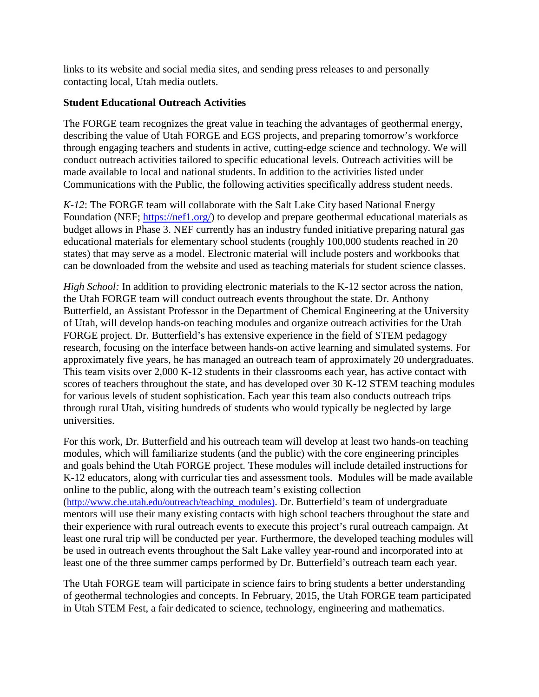links to its website and social media sites, and sending press releases to and personally contacting local, Utah media outlets.

### **Student Educational Outreach Activities**

The FORGE team recognizes the great value in teaching the advantages of geothermal energy, describing the value of Utah FORGE and EGS projects, and preparing tomorrow's workforce through engaging teachers and students in active, cutting-edge science and technology. We will conduct outreach activities tailored to specific educational levels. Outreach activities will be made available to local and national students. In addition to the activities listed under Communications with the Public, the following activities specifically address student needs.

*K-12*: The FORGE team will collaborate with the Salt Lake City based National Energy Foundation (NEF; [https://nef1.org/\)](https://nef1.org/) to develop and prepare geothermal educational materials as budget allows in Phase 3. NEF currently has an industry funded initiative preparing natural gas educational materials for elementary school students (roughly 100,000 students reached in 20 states) that may serve as a model. Electronic material will include posters and workbooks that can be downloaded from the website and used as teaching materials for student science classes.

*High School:* In addition to providing electronic materials to the K-12 sector across the nation, the Utah FORGE team will conduct outreach events throughout the state. Dr. Anthony Butterfield, an Assistant Professor in the Department of Chemical Engineering at the University of Utah, will develop hands-on teaching modules and organize outreach activities for the Utah FORGE project. Dr. Butterfield's has extensive experience in the field of STEM pedagogy research, focusing on the interface between hands-on active learning and simulated systems. For approximately five years, he has managed an outreach team of approximately 20 undergraduates. This team visits over 2,000 K-12 students in their classrooms each year, has active contact with scores of teachers throughout the state, and has developed over 30 K-12 STEM teaching modules for various levels of student sophistication. Each year this team also conducts outreach trips through rural Utah, visiting hundreds of students who would typically be neglected by large universities.

For this work, Dr. Butterfield and his outreach team will develop at least two hands-on teaching modules, which will familiarize students (and the public) with the core engineering principles and goals behind the Utah FORGE project. These modules will include detailed instructions for K-12 educators, along with curricular ties and assessment tools. Modules will be made available online to the public, along with the outreach team's existing collection (http://www.che.utah.edu/outreach/teaching\_modules). Dr. Butterfield's team of undergraduate mentors will use their many existing contacts with high school teachers throughout the state and their experience with rural outreach events to execute this project's rural outreach campaign. At least one rural trip will be conducted per year. Furthermore, the developed teaching modules will be used in outreach events throughout the Salt Lake valley year-round and incorporated into at least one of the three summer camps performed by Dr. Butterfield's outreach team each year.

The Utah FORGE team will participate in science fairs to bring students a better understanding of geothermal technologies and concepts. In February, 2015, the Utah FORGE team participated in Utah STEM Fest, a fair dedicated to science, technology, engineering and mathematics.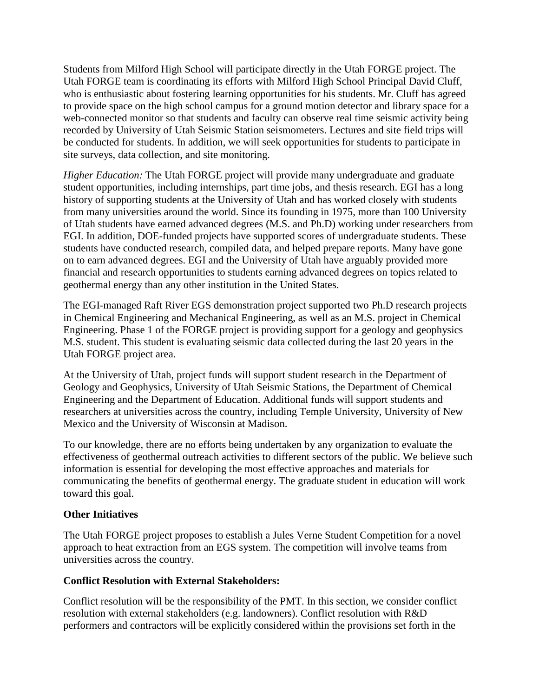Students from Milford High School will participate directly in the Utah FORGE project. The Utah FORGE team is coordinating its efforts with Milford High School Principal David Cluff, who is enthusiastic about fostering learning opportunities for his students. Mr. Cluff has agreed to provide space on the high school campus for a ground motion detector and library space for a web-connected monitor so that students and faculty can observe real time seismic activity being recorded by University of Utah Seismic Station seismometers. Lectures and site field trips will be conducted for students. In addition, we will seek opportunities for students to participate in site surveys, data collection, and site monitoring.

*Higher Education:* The Utah FORGE project will provide many undergraduate and graduate student opportunities, including internships, part time jobs, and thesis research. EGI has a long history of supporting students at the University of Utah and has worked closely with students from many universities around the world. Since its founding in 1975, more than 100 University of Utah students have earned advanced degrees (M.S. and Ph.D) working under researchers from EGI. In addition, DOE-funded projects have supported scores of undergraduate students. These students have conducted research, compiled data, and helped prepare reports. Many have gone on to earn advanced degrees. EGI and the University of Utah have arguably provided more financial and research opportunities to students earning advanced degrees on topics related to geothermal energy than any other institution in the United States.

The EGI-managed Raft River EGS demonstration project supported two Ph.D research projects in Chemical Engineering and Mechanical Engineering, as well as an M.S. project in Chemical Engineering. Phase 1 of the FORGE project is providing support for a geology and geophysics M.S. student. This student is evaluating seismic data collected during the last 20 years in the Utah FORGE project area.

At the University of Utah, project funds will support student research in the Department of Geology and Geophysics, University of Utah Seismic Stations, the Department of Chemical Engineering and the Department of Education. Additional funds will support students and researchers at universities across the country, including Temple University, University of New Mexico and the University of Wisconsin at Madison.

To our knowledge, there are no efforts being undertaken by any organization to evaluate the effectiveness of geothermal outreach activities to different sectors of the public. We believe such information is essential for developing the most effective approaches and materials for communicating the benefits of geothermal energy. The graduate student in education will work toward this goal.

#### **Other Initiatives**

The Utah FORGE project proposes to establish a Jules Verne Student Competition for a novel approach to heat extraction from an EGS system. The competition will involve teams from universities across the country.

#### **Conflict Resolution with External Stakeholders:**

Conflict resolution will be the responsibility of the PMT. In this section, we consider conflict resolution with external stakeholders (e.g. landowners). Conflict resolution with R&D performers and contractors will be explicitly considered within the provisions set forth in the